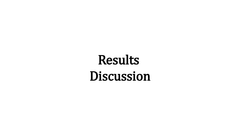# Results Discussion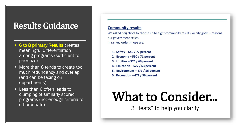# Results Guidance

- 6 to 8 primary Results creates meaningful differentiation among programs (sufficient to prioritize)
- More than 8 tends to create too much redundancy and overlap (and can be taxing on departments)
- Less than 6 often leads to clumping of similarly scored programs (not enough criteria to differentiate)

### **Community results**

We asked neighbors to choose up to eight community results, or city goals - reasons our government exists. In ranked order, those are:

- 1. Safety  $-640/77$  percent
- 2. Economy  $-590/71$  percent
- 3. Utilities  $-575/69$  percent
- 4. Education  $-527/63$  percent
- 5. Environment  $-471/56$  percent
- 5. Recreation  $-471/56$  percent

# What to Consider...

3 "tests" to help you clarify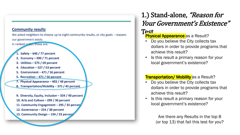We asked neighbors to choose up to eight community results, or city goals - reasons our government exists.

In ranked order, those are:

- Safety  $-640/77$  percent
- 2. Economy  $-590/71$  percent
- 3. Utilities  $-575/69$  percent
- 4. Education  $-527/63$  percent
- 5. Environment 471 / 56 percent
- 5. Recreation  $-471/56$  percent
- 7. Physical Appearance 403 / 48 percent
- 8. Transportation/Mobility 375 / 45 percent

9. Diversity, Equity, Inclusion - 334 / 40 percent 10. Arts and Culture - 299 / 36 percent 11. Community Engagement - 295 / 35 percen. 12. Governance  $-254/30$  percent 13. Community Design - 194 / 23 percent

# 1.) Stand-alone, "Reason for Your Government's Existence"

## Test

## **Physical Appearance** as a Result?

- Do you believe the City collects tax dollars in order to provide programs that achieve this result?
- Is this result a primary reason for your local government's existence?

## **Transportation/ Mobility** as a Result?

- Do you believe the City collects tax dollars in order to provide programs that achieve this result?
- Is this result a primary reason for your local government's existence?

Are there any Results in the top 8 (or top 13) that fail this test for you?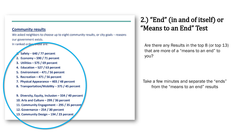We asked neighbors to choose up to eight community results, or city goals - reasons our government exists. In ranked order, those are:

Safety  $-640/77$  percent 2. Economy  $-590/71$  percent 3. Utilities  $-575/69$  percent 4. Education  $-527/63$  percent 5. Environment - 471 / 56 percent 5. Recreation  $-471/56$  percent 7. Physical Appearance - 403 / 48 percent 8. Transportation/Mobility - 375 / 45 percent 9. Diversity, Equity, Inclusion - 334 / 40 percent

10. Arts and Culture - 299 / 36 percent 11. Community Engagement - 295 / 35 percent 12. Governance  $-254/30$  percent 13. Community Design - 194 / 23 percent

## 2.) "End" (in and of itself) or "Means to an End" Test

Are there any Results in the top 8 (or top 13) that are more of a "means to an end" to you?

Take a few minutes and separate the "ends" from the "means to an end" results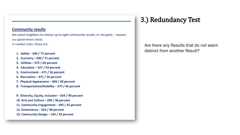We asked neighbors to choose up to eight community results, or city goals - reasons our government exists. In ranked order, those are:

- 1. Safety  $-640/77$  percent
- 2. Economy  $-590/71$  percent
- 3. Utilities  $-575/69$  percent
- 4. Education  $-527/63$  percent
- 5. Environment 471 / 56 percent
- 5. Recreation  $-471/56$  percent
- 7. Physical Appearance 403 / 48 percent
- 8. Transportation/Mobility 375 / 45 percent

9. Diversity, Equity, Inclusion - 334 / 40 percent 10. Arts and Culture - 299 / 36 percent 11. Community Engagement - 295 / 35 percent 12. Governance  $-254/30$  percent 13. Community Design - 194 / 23 percent

## 3.) Redundancy Test

Are there any Results that do not seem distinct from another Result?